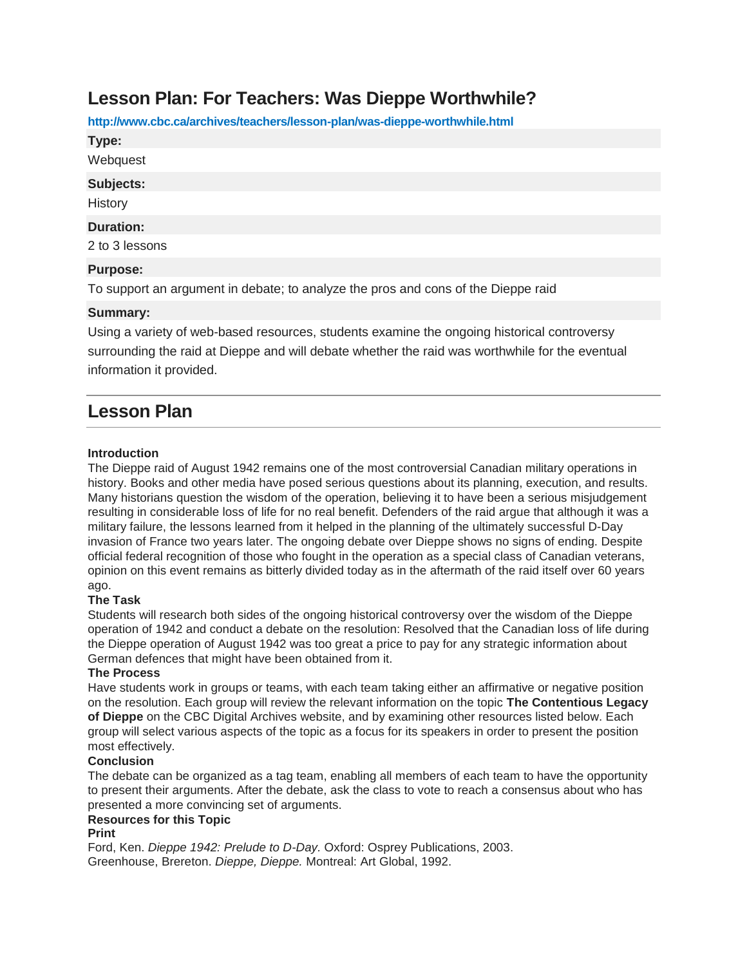# **Lesson Plan: For Teachers: Was Dieppe Worthwhile?**

**http://www.cbc.ca/archives/teachers/lesson-plan/was-dieppe-worthwhile.html**

**Type:**

**Webquest** 

#### **Subjects:**

**History** 

#### **Duration:**

2 to 3 lessons

### **Purpose:**

To support an argument in debate; to analyze the pros and cons of the Dieppe raid

## **Summary:**

Using a variety of web-based resources, students examine the ongoing historical controversy surrounding the raid at Dieppe and will debate whether the raid was worthwhile for the eventual information it provided.

# **Lesson Plan**

### **Introduction**

The Dieppe raid of August 1942 remains one of the most controversial Canadian military operations in history. Books and other media have posed serious questions about its planning, execution, and results. Many historians question the wisdom of the operation, believing it to have been a serious misjudgement resulting in considerable loss of life for no real benefit. Defenders of the raid argue that although it was a military failure, the lessons learned from it helped in the planning of the ultimately successful D-Day invasion of France two years later. The ongoing debate over Dieppe shows no signs of ending. Despite official federal recognition of those who fought in the operation as a special class of Canadian veterans, opinion on this event remains as bitterly divided today as in the aftermath of the raid itself over 60 years ago.

### **The Task**

Students will research both sides of the ongoing historical controversy over the wisdom of the Dieppe operation of 1942 and conduct a debate on the resolution: Resolved that the Canadian loss of life during the Dieppe operation of August 1942 was too great a price to pay for any strategic information about German defences that might have been obtained from it.

### **The Process**

Have students work in groups or teams, with each team taking either an affirmative or negative position on the resolution. Each group will review the relevant information on the topic **The Contentious Legacy of Dieppe** on the CBC Digital Archives website, and by examining other resources listed below. Each group will select various aspects of the topic as a focus for its speakers in order to present the position most effectively.

## **Conclusion**

The debate can be organized as a tag team, enabling all members of each team to have the opportunity to present their arguments. After the debate, ask the class to vote to reach a consensus about who has presented a more convincing set of arguments.

#### **Resources for this Topic**

#### **Print**

Ford, Ken. *Dieppe 1942: Prelude to D-Day.* Oxford: Osprey Publications, 2003. Greenhouse, Brereton. *Dieppe, Dieppe.* Montreal: Art Global, 1992.